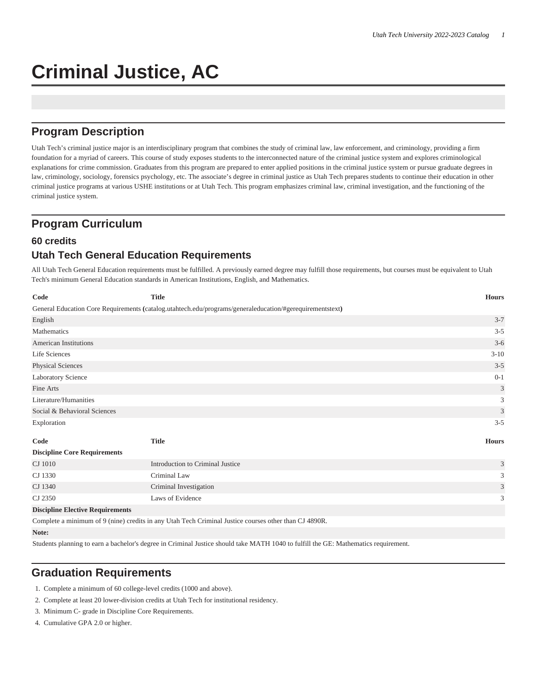# **Criminal Justice, AC**

## **Program Description**

Utah Tech's criminal justice major is an interdisciplinary program that combines the study of criminal law, law enforcement, and criminology, providing a firm foundation for a myriad of careers. This course of study exposes students to the interconnected nature of the criminal justice system and explores criminological explanations for crime commission. Graduates from this program are prepared to enter applied positions in the criminal justice system or pursue graduate degrees in law, criminology, sociology, forensics psychology, etc. The associate's degree in criminal justice as Utah Tech prepares students to continue their education in other criminal justice programs at various USHE institutions or at Utah Tech. This program emphasizes criminal law, criminal investigation, and the functioning of the criminal justice system.

## **Program Curriculum**

#### **60 credits**

## **Utah Tech General Education Requirements**

All Utah Tech General Education requirements must be fulfilled. A previously earned degree may fulfill those requirements, but courses must be equivalent to Utah Tech's minimum General Education standards in American Institutions, English, and Mathematics.

| Code                                                                                                     | <b>Title</b>                     | <b>Hours</b>                |  |  |
|----------------------------------------------------------------------------------------------------------|----------------------------------|-----------------------------|--|--|
| General Education Core Requirements (catalog.utahtech.edu/programs/generaleducation/#gerequirementstext) |                                  |                             |  |  |
| English                                                                                                  |                                  | $3 - 7$                     |  |  |
| Mathematics                                                                                              |                                  | $3 - 5$                     |  |  |
| <b>American Institutions</b>                                                                             |                                  | $3 - 6$                     |  |  |
| Life Sciences                                                                                            |                                  | $3 - 10$                    |  |  |
| <b>Physical Sciences</b>                                                                                 |                                  | $3 - 5$                     |  |  |
| Laboratory Science                                                                                       |                                  | $0 - 1$                     |  |  |
| Fine Arts                                                                                                |                                  | 3                           |  |  |
| Literature/Humanities                                                                                    |                                  | 3                           |  |  |
| Social & Behavioral Sciences                                                                             |                                  | $\ensuremath{\mathfrak{Z}}$ |  |  |
| Exploration                                                                                              |                                  | $3 - 5$                     |  |  |
| Code                                                                                                     | <b>Title</b>                     | <b>Hours</b>                |  |  |
| <b>Discipline Core Requirements</b>                                                                      |                                  |                             |  |  |
| CJ 1010                                                                                                  | Introduction to Criminal Justice | 3                           |  |  |
| CJ 1330                                                                                                  | Criminal Law                     | 3                           |  |  |
| CJ 1340                                                                                                  | Criminal Investigation           | $\mathfrak{Z}$              |  |  |
| CJ 2350                                                                                                  | Laws of Evidence                 | 3                           |  |  |
| <b>Discipline Elective Requirements</b>                                                                  |                                  |                             |  |  |
| Complete a minimum of 9 (nine) credits in any Utah Tech Criminal Justice courses other than CJ 4890R.    |                                  |                             |  |  |
| Note:                                                                                                    |                                  |                             |  |  |

Students planning to earn a bachelor's degree in Criminal Justice should take MATH 1040 to fulfill the GE: Mathematics requirement.

## **Graduation Requirements**

- 1. Complete a minimum of 60 college-level credits (1000 and above).
- 2. Complete at least 20 lower-division credits at Utah Tech for institutional residency.
- 3. Minimum C- grade in Discipline Core Requirements.
- 4. Cumulative GPA 2.0 or higher.